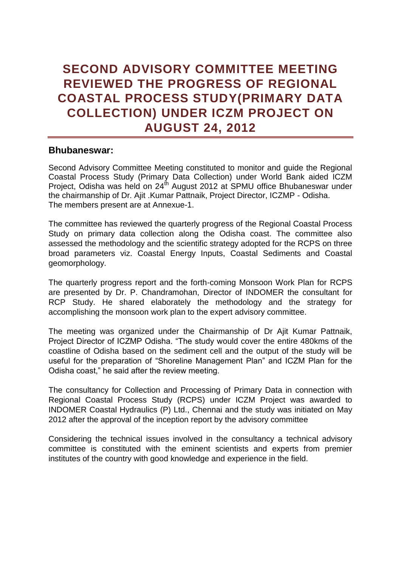# **SECOND ADVISORY COMMITTEE MEETING REVIEWED THE PROGRESS OF REGIONAL COASTAL PROCESS STUDY(PRIMARY DATA COLLECTION) UNDER ICZM PROJECT ON AUGUST 24, 2012**

### **Bhubaneswar:**

Second Advisory Committee Meeting constituted to monitor and guide the Regional Coastal Process Study (Primary Data Collection) under World Bank aided ICZM Project, Odisha was held on  $24<sup>th</sup>$  August 2012 at SPMU office Bhubaneswar under the chairmanship of Dr. Ajit .Kumar Pattnaik, Project Director, ICZMP - Odisha. The members present are at Annexue-1.

The committee has reviewed the quarterly progress of the Regional Coastal Process Study on primary data collection along the Odisha coast. The committee also assessed the methodology and the scientific strategy adopted for the RCPS on three broad parameters viz. Coastal Energy Inputs, Coastal Sediments and Coastal geomorphology.

The quarterly progress report and the forth-coming Monsoon Work Plan for RCPS are presented by Dr. P. Chandramohan, Director of INDOMER the consultant for RCP Study. He shared elaborately the methodology and the strategy for accomplishing the monsoon work plan to the expert advisory committee.

The meeting was organized under the Chairmanship of Dr Ajit Kumar Pattnaik, Project Director of ICZMP Odisha. "The study would cover the entire 480kms of the coastline of Odisha based on the sediment cell and the output of the study will be useful for the preparation of "Shoreline Management Plan" and ICZM Plan for the Odisha coast," he said after the review meeting.

The consultancy for Collection and Processing of Primary Data in connection with Regional Coastal Process Study (RCPS) under ICZM Project was awarded to INDOMER Coastal Hydraulics (P) Ltd., Chennai and the study was initiated on May 2012 after the approval of the inception report by the advisory committee

Considering the technical issues involved in the consultancy a technical advisory committee is constituted with the eminent scientists and experts from premier institutes of the country with good knowledge and experience in the field.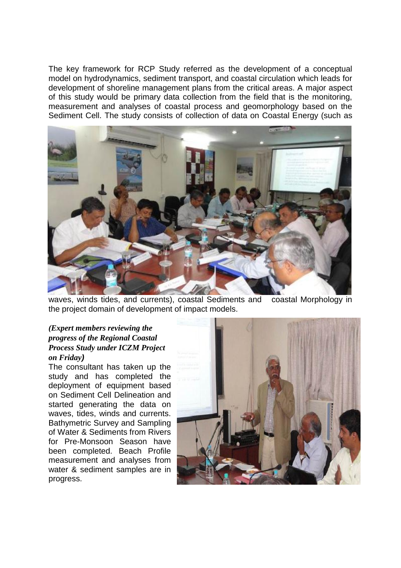The key framework for RCP Study referred as the development of a conceptual model on hydrodynamics, sediment transport, and coastal circulation which leads for development of shoreline management plans from the critical areas. A major aspect of this study would be primary data collection from the field that is the monitoring, measurement and analyses of coastal process and geomorphology based on the Sediment Cell. The study consists of collection of data on Coastal Energy (such as



waves, winds tides, and currents), coastal Sediments and coastal Morphology in the project domain of development of impact models.

#### *(Expert members reviewing the progress of the Regional Coastal Process Study under ICZM Project on Friday)*

The consultant has taken up the study and has completed the deployment of equipment based on Sediment Cell Delineation and started generating the data on waves, tides, winds and currents. Bathymetric Survey and Sampling of Water & Sediments from Rivers for Pre-Monsoon Season have been completed. Beach Profile measurement and analyses from water & sediment samples are in progress.